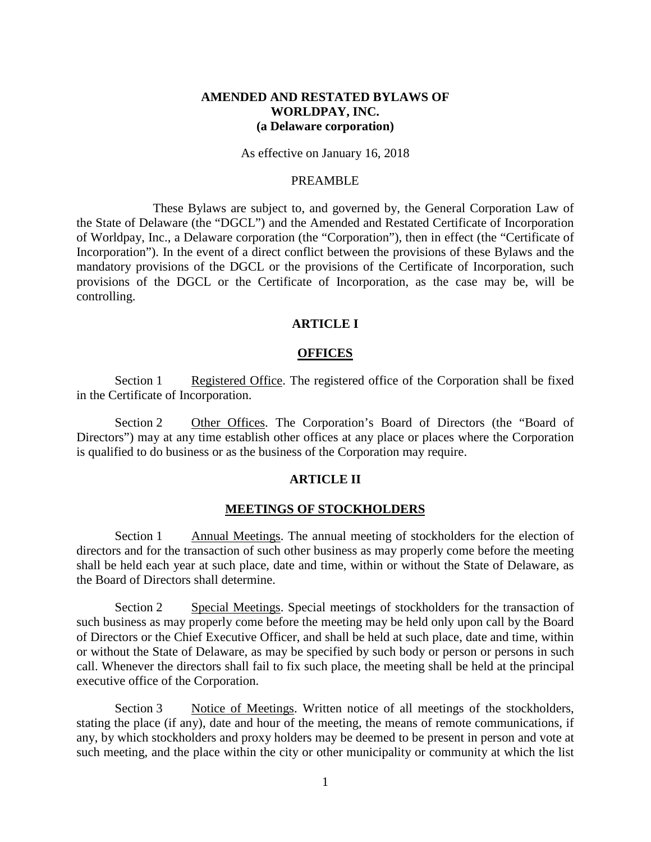# **AMENDED AND RESTATED BYLAWS OF WORLDPAY, INC. (a Delaware corporation)**

### As effective on January 16, 2018

## PREAMBLE

These Bylaws are subject to, and governed by, the General Corporation Law of the State of Delaware (the "DGCL") and the Amended and Restated Certificate of Incorporation of Worldpay, Inc., a Delaware corporation (the "Corporation"), then in effect (the "Certificate of Incorporation"). In the event of a direct conflict between the provisions of these Bylaws and the mandatory provisions of the DGCL or the provisions of the Certificate of Incorporation, such provisions of the DGCL or the Certificate of Incorporation, as the case may be, will be controlling.

## **ARTICLE I**

### **OFFICES**

Section 1 Registered Office. The registered office of the Corporation shall be fixed in the Certificate of Incorporation.

Section 2 Other Offices. The Corporation's Board of Directors (the "Board of Directors") may at any time establish other offices at any place or places where the Corporation is qualified to do business or as the business of the Corporation may require.

### **ARTICLE II**

### **MEETINGS OF STOCKHOLDERS**

Section 1 Annual Meetings. The annual meeting of stockholders for the election of directors and for the transaction of such other business as may properly come before the meeting shall be held each year at such place, date and time, within or without the State of Delaware, as the Board of Directors shall determine.

Section 2 Special Meetings. Special meetings of stockholders for the transaction of such business as may properly come before the meeting may be held only upon call by the Board of Directors or the Chief Executive Officer, and shall be held at such place, date and time, within or without the State of Delaware, as may be specified by such body or person or persons in such call. Whenever the directors shall fail to fix such place, the meeting shall be held at the principal executive office of the Corporation.

Section 3 Notice of Meetings. Written notice of all meetings of the stockholders, stating the place (if any), date and hour of the meeting, the means of remote communications, if any, by which stockholders and proxy holders may be deemed to be present in person and vote at such meeting, and the place within the city or other municipality or community at which the list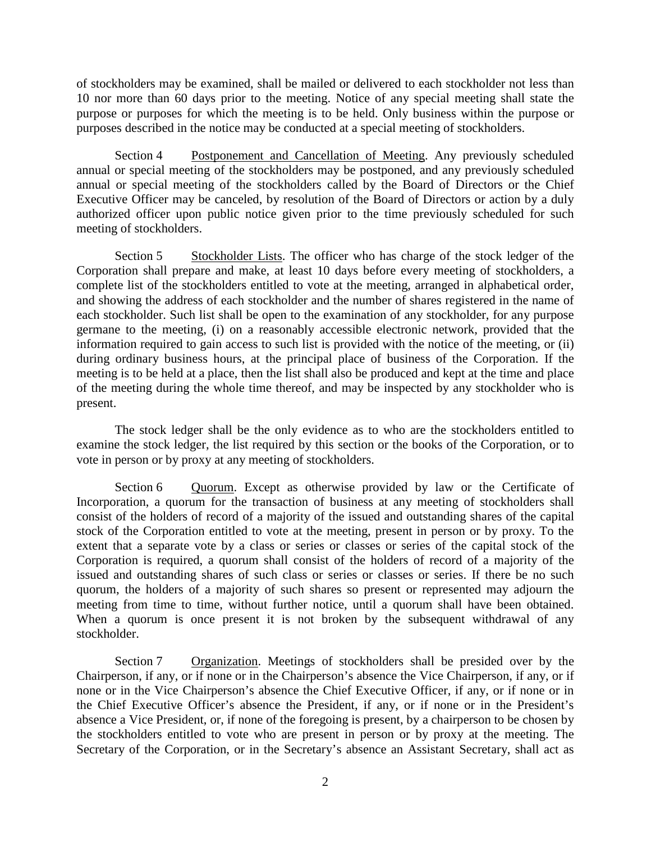of stockholders may be examined, shall be mailed or delivered to each stockholder not less than 10 nor more than 60 days prior to the meeting. Notice of any special meeting shall state the purpose or purposes for which the meeting is to be held. Only business within the purpose or purposes described in the notice may be conducted at a special meeting of stockholders.

Section 4 Postponement and Cancellation of Meeting. Any previously scheduled annual or special meeting of the stockholders may be postponed, and any previously scheduled annual or special meeting of the stockholders called by the Board of Directors or the Chief Executive Officer may be canceled, by resolution of the Board of Directors or action by a duly authorized officer upon public notice given prior to the time previously scheduled for such meeting of stockholders.

Section 5 Stockholder Lists. The officer who has charge of the stock ledger of the Corporation shall prepare and make, at least 10 days before every meeting of stockholders, a complete list of the stockholders entitled to vote at the meeting, arranged in alphabetical order, and showing the address of each stockholder and the number of shares registered in the name of each stockholder. Such list shall be open to the examination of any stockholder, for any purpose germane to the meeting, (i) on a reasonably accessible electronic network, provided that the information required to gain access to such list is provided with the notice of the meeting, or (ii) during ordinary business hours, at the principal place of business of the Corporation. If the meeting is to be held at a place, then the list shall also be produced and kept at the time and place of the meeting during the whole time thereof, and may be inspected by any stockholder who is present.

The stock ledger shall be the only evidence as to who are the stockholders entitled to examine the stock ledger, the list required by this section or the books of the Corporation, or to vote in person or by proxy at any meeting of stockholders.

Section 6 Quorum. Except as otherwise provided by law or the Certificate of Incorporation, a quorum for the transaction of business at any meeting of stockholders shall consist of the holders of record of a majority of the issued and outstanding shares of the capital stock of the Corporation entitled to vote at the meeting, present in person or by proxy. To the extent that a separate vote by a class or series or classes or series of the capital stock of the Corporation is required, a quorum shall consist of the holders of record of a majority of the issued and outstanding shares of such class or series or classes or series. If there be no such quorum, the holders of a majority of such shares so present or represented may adjourn the meeting from time to time, without further notice, until a quorum shall have been obtained. When a quorum is once present it is not broken by the subsequent withdrawal of any stockholder.

Section 7 Organization. Meetings of stockholders shall be presided over by the Chairperson, if any, or if none or in the Chairperson's absence the Vice Chairperson, if any, or if none or in the Vice Chairperson's absence the Chief Executive Officer, if any, or if none or in the Chief Executive Officer's absence the President, if any, or if none or in the President's absence a Vice President, or, if none of the foregoing is present, by a chairperson to be chosen by the stockholders entitled to vote who are present in person or by proxy at the meeting. The Secretary of the Corporation, or in the Secretary's absence an Assistant Secretary, shall act as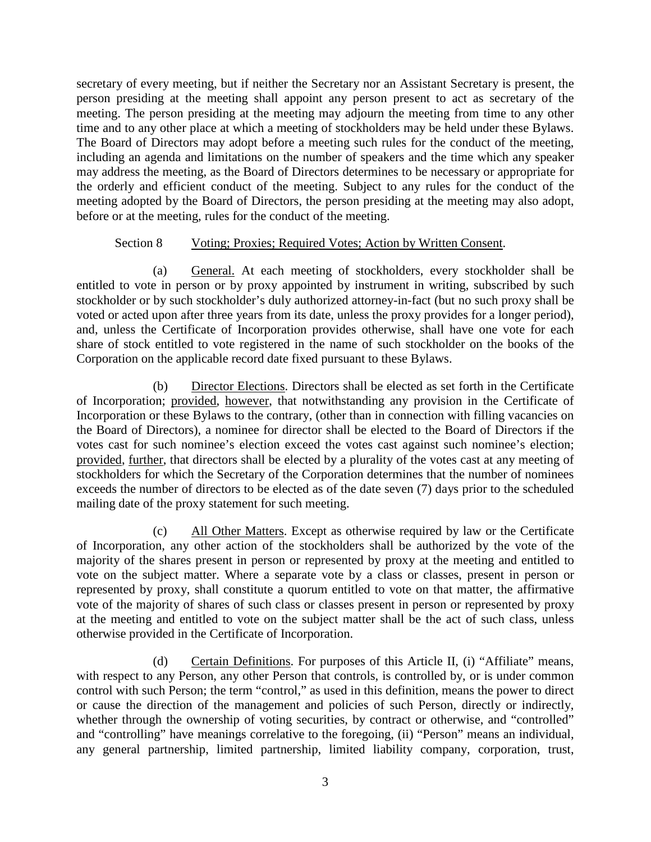secretary of every meeting, but if neither the Secretary nor an Assistant Secretary is present, the person presiding at the meeting shall appoint any person present to act as secretary of the meeting. The person presiding at the meeting may adjourn the meeting from time to any other time and to any other place at which a meeting of stockholders may be held under these Bylaws. The Board of Directors may adopt before a meeting such rules for the conduct of the meeting, including an agenda and limitations on the number of speakers and the time which any speaker may address the meeting, as the Board of Directors determines to be necessary or appropriate for the orderly and efficient conduct of the meeting. Subject to any rules for the conduct of the meeting adopted by the Board of Directors, the person presiding at the meeting may also adopt, before or at the meeting, rules for the conduct of the meeting.

# Section 8 Voting; Proxies; Required Votes; Action by Written Consent.

(a) General. At each meeting of stockholders, every stockholder shall be entitled to vote in person or by proxy appointed by instrument in writing, subscribed by such stockholder or by such stockholder's duly authorized attorney-in-fact (but no such proxy shall be voted or acted upon after three years from its date, unless the proxy provides for a longer period), and, unless the Certificate of Incorporation provides otherwise, shall have one vote for each share of stock entitled to vote registered in the name of such stockholder on the books of the Corporation on the applicable record date fixed pursuant to these Bylaws.

(b) Director Elections. Directors shall be elected as set forth in the Certificate of Incorporation; provided, however, that notwithstanding any provision in the Certificate of Incorporation or these Bylaws to the contrary, (other than in connection with filling vacancies on the Board of Directors), a nominee for director shall be elected to the Board of Directors if the votes cast for such nominee's election exceed the votes cast against such nominee's election; provided, further, that directors shall be elected by a plurality of the votes cast at any meeting of stockholders for which the Secretary of the Corporation determines that the number of nominees exceeds the number of directors to be elected as of the date seven (7) days prior to the scheduled mailing date of the proxy statement for such meeting.

(c) All Other Matters. Except as otherwise required by law or the Certificate of Incorporation, any other action of the stockholders shall be authorized by the vote of the majority of the shares present in person or represented by proxy at the meeting and entitled to vote on the subject matter. Where a separate vote by a class or classes, present in person or represented by proxy, shall constitute a quorum entitled to vote on that matter, the affirmative vote of the majority of shares of such class or classes present in person or represented by proxy at the meeting and entitled to vote on the subject matter shall be the act of such class, unless otherwise provided in the Certificate of Incorporation.

(d) Certain Definitions. For purposes of this Article II, (i) "Affiliate" means, with respect to any Person, any other Person that controls, is controlled by, or is under common control with such Person; the term "control," as used in this definition, means the power to direct or cause the direction of the management and policies of such Person, directly or indirectly, whether through the ownership of voting securities, by contract or otherwise, and "controlled" and "controlling" have meanings correlative to the foregoing, (ii) "Person" means an individual, any general partnership, limited partnership, limited liability company, corporation, trust,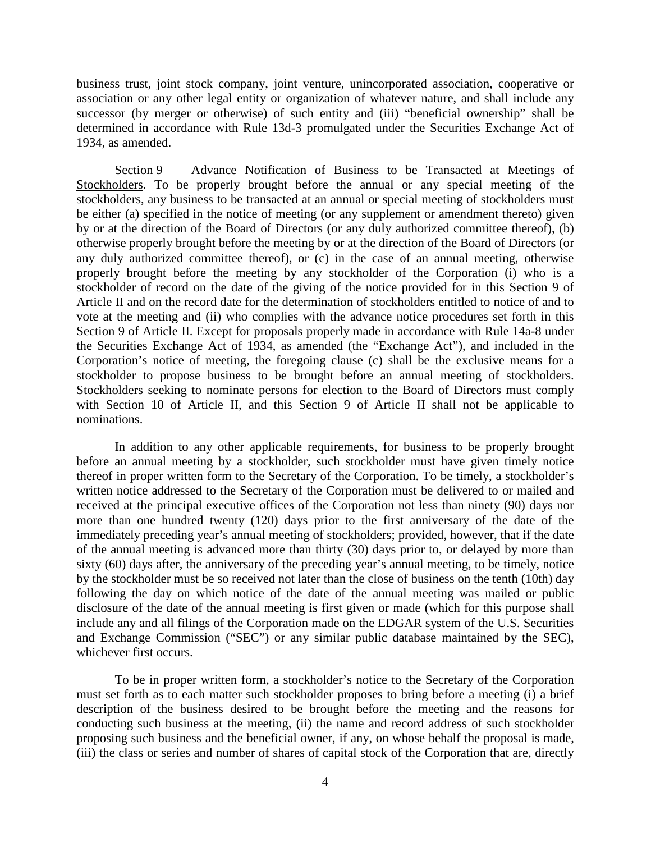business trust, joint stock company, joint venture, unincorporated association, cooperative or association or any other legal entity or organization of whatever nature, and shall include any successor (by merger or otherwise) of such entity and (iii) "beneficial ownership" shall be determined in accordance with Rule 13d-3 promulgated under the Securities Exchange Act of 1934, as amended.

Section 9 Advance Notification of Business to be Transacted at Meetings of Stockholders. To be properly brought before the annual or any special meeting of the stockholders, any business to be transacted at an annual or special meeting of stockholders must be either (a) specified in the notice of meeting (or any supplement or amendment thereto) given by or at the direction of the Board of Directors (or any duly authorized committee thereof), (b) otherwise properly brought before the meeting by or at the direction of the Board of Directors (or any duly authorized committee thereof), or (c) in the case of an annual meeting, otherwise properly brought before the meeting by any stockholder of the Corporation (i) who is a stockholder of record on the date of the giving of the notice provided for in this Section 9 of Article II and on the record date for the determination of stockholders entitled to notice of and to vote at the meeting and (ii) who complies with the advance notice procedures set forth in this Section 9 of Article II. Except for proposals properly made in accordance with Rule 14a-8 under the Securities Exchange Act of 1934, as amended (the "Exchange Act"), and included in the Corporation's notice of meeting, the foregoing clause (c) shall be the exclusive means for a stockholder to propose business to be brought before an annual meeting of stockholders. Stockholders seeking to nominate persons for election to the Board of Directors must comply with Section 10 of Article II, and this Section 9 of Article II shall not be applicable to nominations.

In addition to any other applicable requirements, for business to be properly brought before an annual meeting by a stockholder, such stockholder must have given timely notice thereof in proper written form to the Secretary of the Corporation. To be timely, a stockholder's written notice addressed to the Secretary of the Corporation must be delivered to or mailed and received at the principal executive offices of the Corporation not less than ninety (90) days nor more than one hundred twenty (120) days prior to the first anniversary of the date of the immediately preceding year's annual meeting of stockholders; provided, however, that if the date of the annual meeting is advanced more than thirty (30) days prior to, or delayed by more than sixty (60) days after, the anniversary of the preceding year's annual meeting, to be timely, notice by the stockholder must be so received not later than the close of business on the tenth (10th) day following the day on which notice of the date of the annual meeting was mailed or public disclosure of the date of the annual meeting is first given or made (which for this purpose shall include any and all filings of the Corporation made on the EDGAR system of the U.S. Securities and Exchange Commission ("SEC") or any similar public database maintained by the SEC), whichever first occurs.

To be in proper written form, a stockholder's notice to the Secretary of the Corporation must set forth as to each matter such stockholder proposes to bring before a meeting (i) a brief description of the business desired to be brought before the meeting and the reasons for conducting such business at the meeting, (ii) the name and record address of such stockholder proposing such business and the beneficial owner, if any, on whose behalf the proposal is made, (iii) the class or series and number of shares of capital stock of the Corporation that are, directly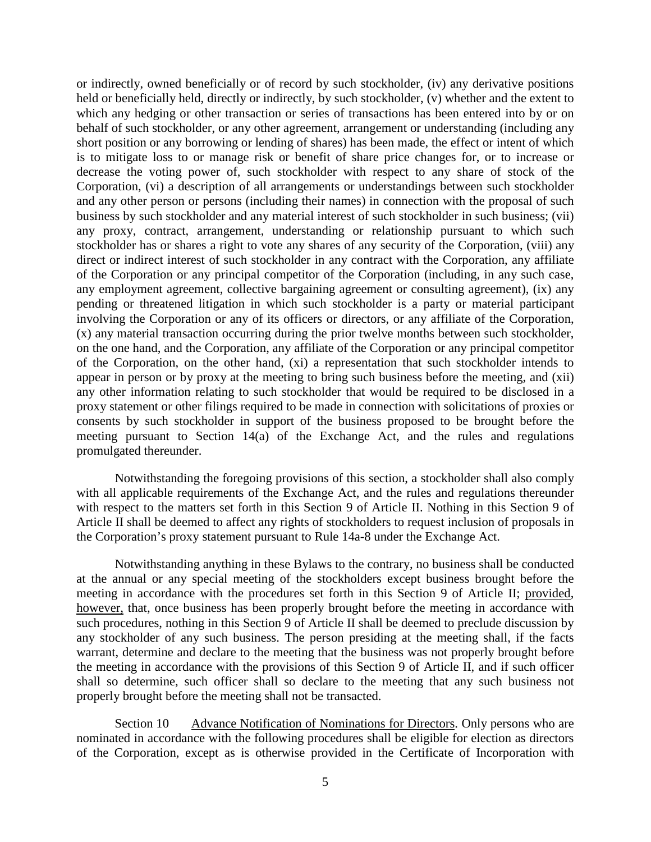or indirectly, owned beneficially or of record by such stockholder, (iv) any derivative positions held or beneficially held, directly or indirectly, by such stockholder, (v) whether and the extent to which any hedging or other transaction or series of transactions has been entered into by or on behalf of such stockholder, or any other agreement, arrangement or understanding (including any short position or any borrowing or lending of shares) has been made, the effect or intent of which is to mitigate loss to or manage risk or benefit of share price changes for, or to increase or decrease the voting power of, such stockholder with respect to any share of stock of the Corporation, (vi) a description of all arrangements or understandings between such stockholder and any other person or persons (including their names) in connection with the proposal of such business by such stockholder and any material interest of such stockholder in such business; (vii) any proxy, contract, arrangement, understanding or relationship pursuant to which such stockholder has or shares a right to vote any shares of any security of the Corporation, (viii) any direct or indirect interest of such stockholder in any contract with the Corporation, any affiliate of the Corporation or any principal competitor of the Corporation (including, in any such case, any employment agreement, collective bargaining agreement or consulting agreement), (ix) any pending or threatened litigation in which such stockholder is a party or material participant involving the Corporation or any of its officers or directors, or any affiliate of the Corporation, (x) any material transaction occurring during the prior twelve months between such stockholder, on the one hand, and the Corporation, any affiliate of the Corporation or any principal competitor of the Corporation, on the other hand, (xi) a representation that such stockholder intends to appear in person or by proxy at the meeting to bring such business before the meeting, and (xii) any other information relating to such stockholder that would be required to be disclosed in a proxy statement or other filings required to be made in connection with solicitations of proxies or consents by such stockholder in support of the business proposed to be brought before the meeting pursuant to Section 14(a) of the Exchange Act, and the rules and regulations promulgated thereunder.

Notwithstanding the foregoing provisions of this section, a stockholder shall also comply with all applicable requirements of the Exchange Act, and the rules and regulations thereunder with respect to the matters set forth in this Section 9 of Article II. Nothing in this Section 9 of Article II shall be deemed to affect any rights of stockholders to request inclusion of proposals in the Corporation's proxy statement pursuant to Rule 14a-8 under the Exchange Act.

Notwithstanding anything in these Bylaws to the contrary, no business shall be conducted at the annual or any special meeting of the stockholders except business brought before the meeting in accordance with the procedures set forth in this Section 9 of Article II; provided, however, that, once business has been properly brought before the meeting in accordance with such procedures, nothing in this Section 9 of Article II shall be deemed to preclude discussion by any stockholder of any such business. The person presiding at the meeting shall, if the facts warrant, determine and declare to the meeting that the business was not properly brought before the meeting in accordance with the provisions of this Section 9 of Article II, and if such officer shall so determine, such officer shall so declare to the meeting that any such business not properly brought before the meeting shall not be transacted.

Section 10 Advance Notification of Nominations for Directors. Only persons who are nominated in accordance with the following procedures shall be eligible for election as directors of the Corporation, except as is otherwise provided in the Certificate of Incorporation with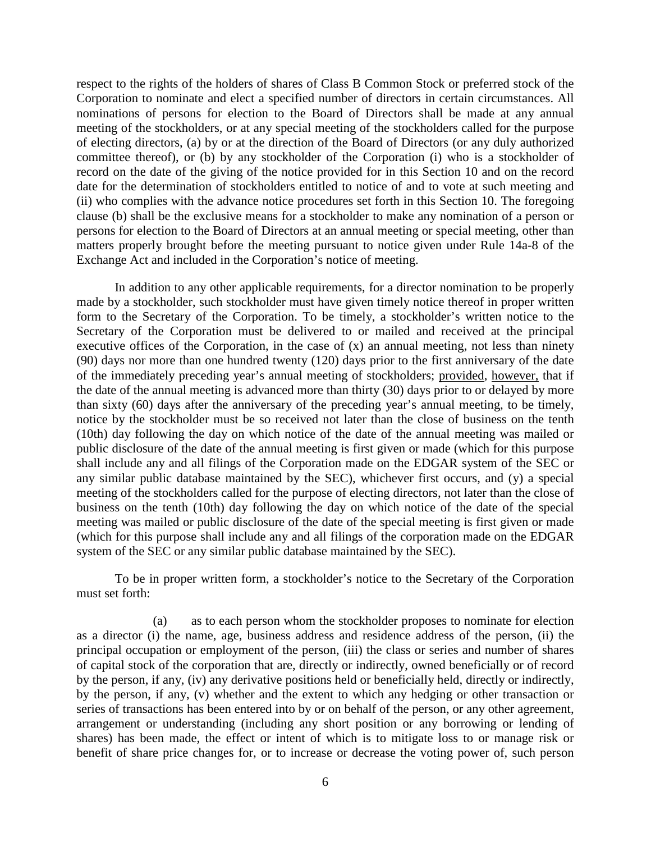respect to the rights of the holders of shares of Class B Common Stock or preferred stock of the Corporation to nominate and elect a specified number of directors in certain circumstances. All nominations of persons for election to the Board of Directors shall be made at any annual meeting of the stockholders, or at any special meeting of the stockholders called for the purpose of electing directors, (a) by or at the direction of the Board of Directors (or any duly authorized committee thereof), or (b) by any stockholder of the Corporation (i) who is a stockholder of record on the date of the giving of the notice provided for in this Section 10 and on the record date for the determination of stockholders entitled to notice of and to vote at such meeting and (ii) who complies with the advance notice procedures set forth in this Section 10. The foregoing clause (b) shall be the exclusive means for a stockholder to make any nomination of a person or persons for election to the Board of Directors at an annual meeting or special meeting, other than matters properly brought before the meeting pursuant to notice given under Rule 14a-8 of the Exchange Act and included in the Corporation's notice of meeting.

In addition to any other applicable requirements, for a director nomination to be properly made by a stockholder, such stockholder must have given timely notice thereof in proper written form to the Secretary of the Corporation. To be timely, a stockholder's written notice to the Secretary of the Corporation must be delivered to or mailed and received at the principal executive offices of the Corporation, in the case of (x) an annual meeting, not less than ninety (90) days nor more than one hundred twenty (120) days prior to the first anniversary of the date of the immediately preceding year's annual meeting of stockholders; provided, however, that if the date of the annual meeting is advanced more than thirty (30) days prior to or delayed by more than sixty (60) days after the anniversary of the preceding year's annual meeting, to be timely, notice by the stockholder must be so received not later than the close of business on the tenth (10th) day following the day on which notice of the date of the annual meeting was mailed or public disclosure of the date of the annual meeting is first given or made (which for this purpose shall include any and all filings of the Corporation made on the EDGAR system of the SEC or any similar public database maintained by the SEC), whichever first occurs, and (y) a special meeting of the stockholders called for the purpose of electing directors, not later than the close of business on the tenth (10th) day following the day on which notice of the date of the special meeting was mailed or public disclosure of the date of the special meeting is first given or made (which for this purpose shall include any and all filings of the corporation made on the EDGAR system of the SEC or any similar public database maintained by the SEC).

To be in proper written form, a stockholder's notice to the Secretary of the Corporation must set forth:

(a) as to each person whom the stockholder proposes to nominate for election as a director (i) the name, age, business address and residence address of the person, (ii) the principal occupation or employment of the person, (iii) the class or series and number of shares of capital stock of the corporation that are, directly or indirectly, owned beneficially or of record by the person, if any, (iv) any derivative positions held or beneficially held, directly or indirectly, by the person, if any, (v) whether and the extent to which any hedging or other transaction or series of transactions has been entered into by or on behalf of the person, or any other agreement, arrangement or understanding (including any short position or any borrowing or lending of shares) has been made, the effect or intent of which is to mitigate loss to or manage risk or benefit of share price changes for, or to increase or decrease the voting power of, such person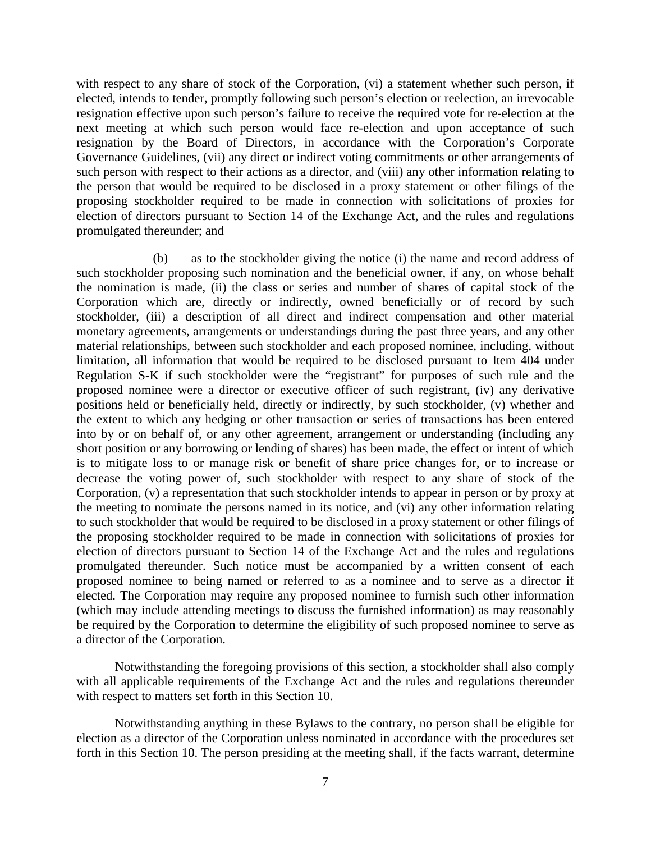with respect to any share of stock of the Corporation, (vi) a statement whether such person, if elected, intends to tender, promptly following such person's election or reelection, an irrevocable resignation effective upon such person's failure to receive the required vote for re-election at the next meeting at which such person would face re-election and upon acceptance of such resignation by the Board of Directors, in accordance with the Corporation's Corporate Governance Guidelines, (vii) any direct or indirect voting commitments or other arrangements of such person with respect to their actions as a director, and (viii) any other information relating to the person that would be required to be disclosed in a proxy statement or other filings of the proposing stockholder required to be made in connection with solicitations of proxies for election of directors pursuant to Section 14 of the Exchange Act, and the rules and regulations promulgated thereunder; and

(b) as to the stockholder giving the notice (i) the name and record address of such stockholder proposing such nomination and the beneficial owner, if any, on whose behalf the nomination is made, (ii) the class or series and number of shares of capital stock of the Corporation which are, directly or indirectly, owned beneficially or of record by such stockholder, (iii) a description of all direct and indirect compensation and other material monetary agreements, arrangements or understandings during the past three years, and any other material relationships, between such stockholder and each proposed nominee, including, without limitation, all information that would be required to be disclosed pursuant to Item 404 under Regulation S-K if such stockholder were the "registrant" for purposes of such rule and the proposed nominee were a director or executive officer of such registrant, (iv) any derivative positions held or beneficially held, directly or indirectly, by such stockholder, (v) whether and the extent to which any hedging or other transaction or series of transactions has been entered into by or on behalf of, or any other agreement, arrangement or understanding (including any short position or any borrowing or lending of shares) has been made, the effect or intent of which is to mitigate loss to or manage risk or benefit of share price changes for, or to increase or decrease the voting power of, such stockholder with respect to any share of stock of the Corporation, (v) a representation that such stockholder intends to appear in person or by proxy at the meeting to nominate the persons named in its notice, and (vi) any other information relating to such stockholder that would be required to be disclosed in a proxy statement or other filings of the proposing stockholder required to be made in connection with solicitations of proxies for election of directors pursuant to Section 14 of the Exchange Act and the rules and regulations promulgated thereunder. Such notice must be accompanied by a written consent of each proposed nominee to being named or referred to as a nominee and to serve as a director if elected. The Corporation may require any proposed nominee to furnish such other information (which may include attending meetings to discuss the furnished information) as may reasonably be required by the Corporation to determine the eligibility of such proposed nominee to serve as a director of the Corporation.

Notwithstanding the foregoing provisions of this section, a stockholder shall also comply with all applicable requirements of the Exchange Act and the rules and regulations thereunder with respect to matters set forth in this Section 10.

Notwithstanding anything in these Bylaws to the contrary, no person shall be eligible for election as a director of the Corporation unless nominated in accordance with the procedures set forth in this Section 10. The person presiding at the meeting shall, if the facts warrant, determine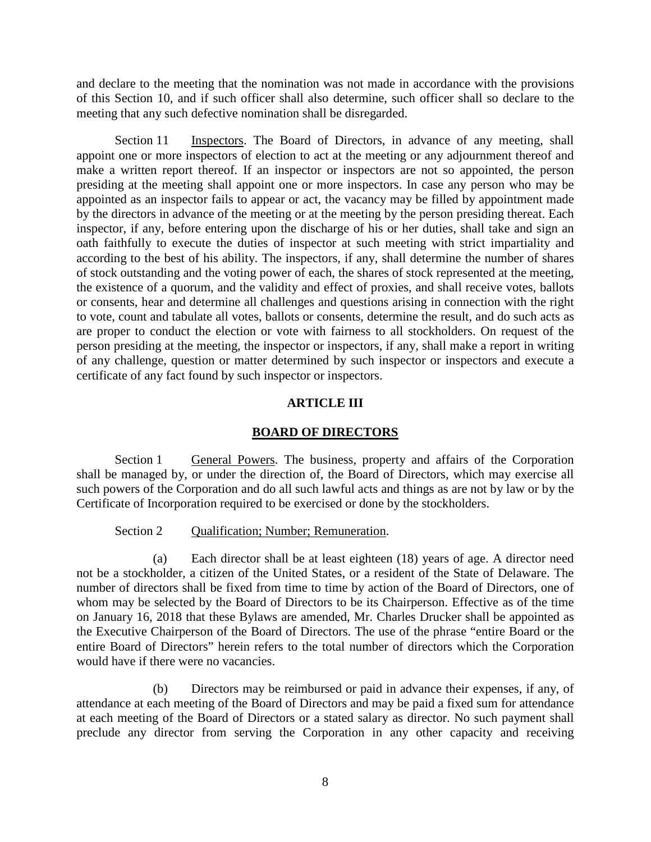and declare to the meeting that the nomination was not made in accordance with the provisions of this Section 10, and if such officer shall also determine, such officer shall so declare to the meeting that any such defective nomination shall be disregarded.

Section 11 Inspectors. The Board of Directors, in advance of any meeting, shall appoint one or more inspectors of election to act at the meeting or any adjournment thereof and make a written report thereof. If an inspector or inspectors are not so appointed, the person presiding at the meeting shall appoint one or more inspectors. In case any person who may be appointed as an inspector fails to appear or act, the vacancy may be filled by appointment made by the directors in advance of the meeting or at the meeting by the person presiding thereat. Each inspector, if any, before entering upon the discharge of his or her duties, shall take and sign an oath faithfully to execute the duties of inspector at such meeting with strict impartiality and according to the best of his ability. The inspectors, if any, shall determine the number of shares of stock outstanding and the voting power of each, the shares of stock represented at the meeting, the existence of a quorum, and the validity and effect of proxies, and shall receive votes, ballots or consents, hear and determine all challenges and questions arising in connection with the right to vote, count and tabulate all votes, ballots or consents, determine the result, and do such acts as are proper to conduct the election or vote with fairness to all stockholders. On request of the person presiding at the meeting, the inspector or inspectors, if any, shall make a report in writing of any challenge, question or matter determined by such inspector or inspectors and execute a certificate of any fact found by such inspector or inspectors.

# **ARTICLE III**

### **BOARD OF DIRECTORS**

Section 1 General Powers. The business, property and affairs of the Corporation shall be managed by, or under the direction of, the Board of Directors, which may exercise all such powers of the Corporation and do all such lawful acts and things as are not by law or by the Certificate of Incorporation required to be exercised or done by the stockholders.

### Section 2 Qualification; Number; Remuneration.

(a) Each director shall be at least eighteen (18) years of age. A director need not be a stockholder, a citizen of the United States, or a resident of the State of Delaware. The number of directors shall be fixed from time to time by action of the Board of Directors, one of whom may be selected by the Board of Directors to be its Chairperson. Effective as of the time on January 16, 2018 that these Bylaws are amended, Mr. Charles Drucker shall be appointed as the Executive Chairperson of the Board of Directors. The use of the phrase "entire Board or the entire Board of Directors" herein refers to the total number of directors which the Corporation would have if there were no vacancies.

(b) Directors may be reimbursed or paid in advance their expenses, if any, of attendance at each meeting of the Board of Directors and may be paid a fixed sum for attendance at each meeting of the Board of Directors or a stated salary as director. No such payment shall preclude any director from serving the Corporation in any other capacity and receiving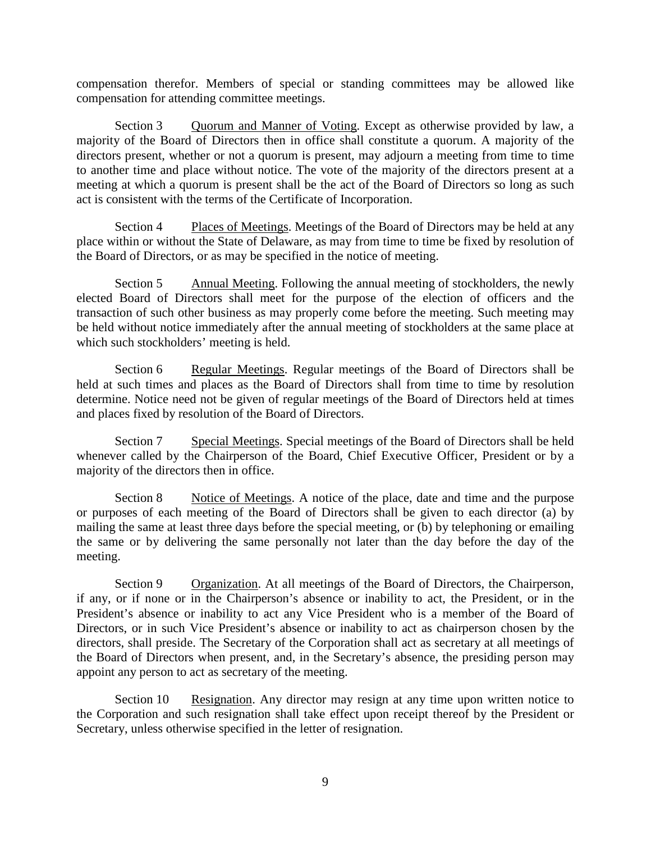compensation therefor. Members of special or standing committees may be allowed like compensation for attending committee meetings.

Section 3 Quorum and Manner of Voting. Except as otherwise provided by law, a majority of the Board of Directors then in office shall constitute a quorum. A majority of the directors present, whether or not a quorum is present, may adjourn a meeting from time to time to another time and place without notice. The vote of the majority of the directors present at a meeting at which a quorum is present shall be the act of the Board of Directors so long as such act is consistent with the terms of the Certificate of Incorporation.

Section 4 Places of Meetings. Meetings of the Board of Directors may be held at any place within or without the State of Delaware, as may from time to time be fixed by resolution of the Board of Directors, or as may be specified in the notice of meeting.

Section 5 Annual Meeting. Following the annual meeting of stockholders, the newly elected Board of Directors shall meet for the purpose of the election of officers and the transaction of such other business as may properly come before the meeting. Such meeting may be held without notice immediately after the annual meeting of stockholders at the same place at which such stockholders' meeting is held.

Section 6 Regular Meetings. Regular meetings of the Board of Directors shall be held at such times and places as the Board of Directors shall from time to time by resolution determine. Notice need not be given of regular meetings of the Board of Directors held at times and places fixed by resolution of the Board of Directors.

Section 7 Special Meetings. Special meetings of the Board of Directors shall be held whenever called by the Chairperson of the Board, Chief Executive Officer, President or by a majority of the directors then in office.

Section 8 Notice of Meetings. A notice of the place, date and time and the purpose or purposes of each meeting of the Board of Directors shall be given to each director (a) by mailing the same at least three days before the special meeting, or (b) by telephoning or emailing the same or by delivering the same personally not later than the day before the day of the meeting.

Section 9 Organization. At all meetings of the Board of Directors, the Chairperson, if any, or if none or in the Chairperson's absence or inability to act, the President, or in the President's absence or inability to act any Vice President who is a member of the Board of Directors, or in such Vice President's absence or inability to act as chairperson chosen by the directors, shall preside. The Secretary of the Corporation shall act as secretary at all meetings of the Board of Directors when present, and, in the Secretary's absence, the presiding person may appoint any person to act as secretary of the meeting.

Section 10 Resignation. Any director may resign at any time upon written notice to the Corporation and such resignation shall take effect upon receipt thereof by the President or Secretary, unless otherwise specified in the letter of resignation.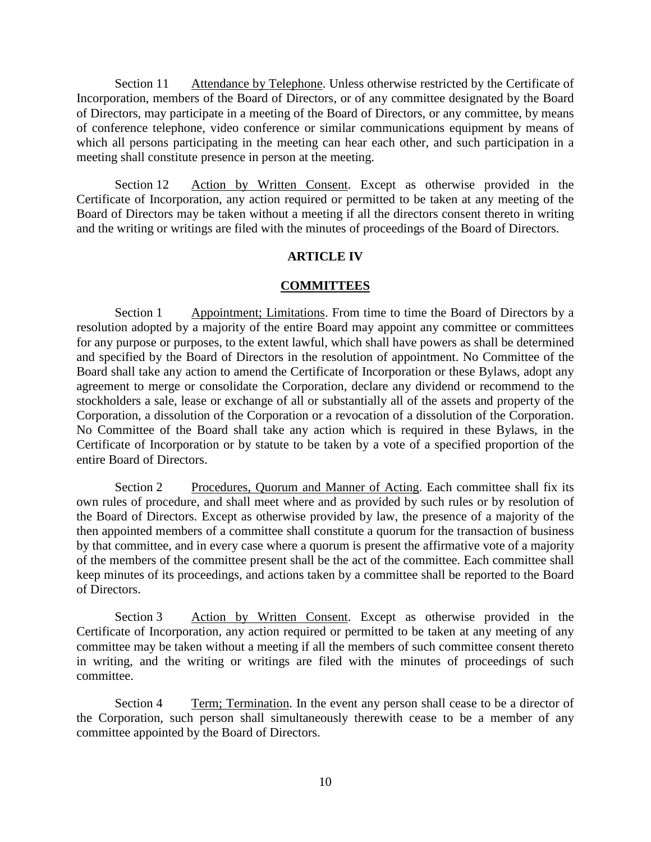Section 11 Attendance by Telephone. Unless otherwise restricted by the Certificate of Incorporation, members of the Board of Directors, or of any committee designated by the Board of Directors, may participate in a meeting of the Board of Directors, or any committee, by means of conference telephone, video conference or similar communications equipment by means of which all persons participating in the meeting can hear each other, and such participation in a meeting shall constitute presence in person at the meeting.

Section 12 Action by Written Consent. Except as otherwise provided in the Certificate of Incorporation, any action required or permitted to be taken at any meeting of the Board of Directors may be taken without a meeting if all the directors consent thereto in writing and the writing or writings are filed with the minutes of proceedings of the Board of Directors.

## **ARTICLE IV**

## **COMMITTEES**

Section 1 Appointment; Limitations. From time to time the Board of Directors by a resolution adopted by a majority of the entire Board may appoint any committee or committees for any purpose or purposes, to the extent lawful, which shall have powers as shall be determined and specified by the Board of Directors in the resolution of appointment. No Committee of the Board shall take any action to amend the Certificate of Incorporation or these Bylaws, adopt any agreement to merge or consolidate the Corporation, declare any dividend or recommend to the stockholders a sale, lease or exchange of all or substantially all of the assets and property of the Corporation, a dissolution of the Corporation or a revocation of a dissolution of the Corporation. No Committee of the Board shall take any action which is required in these Bylaws, in the Certificate of Incorporation or by statute to be taken by a vote of a specified proportion of the entire Board of Directors.

Section 2 Procedures, Quorum and Manner of Acting. Each committee shall fix its own rules of procedure, and shall meet where and as provided by such rules or by resolution of the Board of Directors. Except as otherwise provided by law, the presence of a majority of the then appointed members of a committee shall constitute a quorum for the transaction of business by that committee, and in every case where a quorum is present the affirmative vote of a majority of the members of the committee present shall be the act of the committee. Each committee shall keep minutes of its proceedings, and actions taken by a committee shall be reported to the Board of Directors.

Section 3 Action by Written Consent. Except as otherwise provided in the Certificate of Incorporation, any action required or permitted to be taken at any meeting of any committee may be taken without a meeting if all the members of such committee consent thereto in writing, and the writing or writings are filed with the minutes of proceedings of such committee.

Section 4 Term; Termination. In the event any person shall cease to be a director of the Corporation, such person shall simultaneously therewith cease to be a member of any committee appointed by the Board of Directors.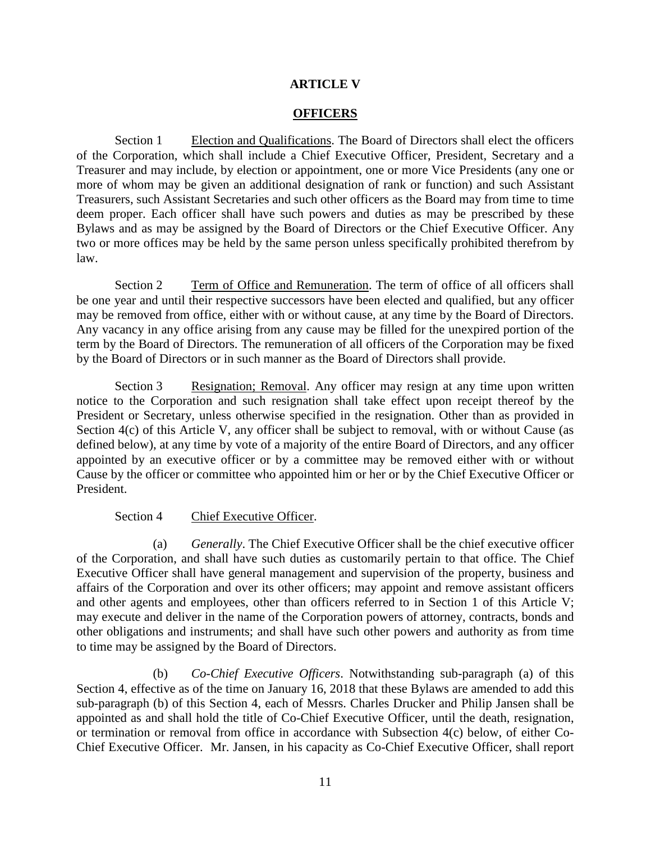# **ARTICLE V**

# **OFFICERS**

Section 1 Election and Qualifications. The Board of Directors shall elect the officers of the Corporation, which shall include a Chief Executive Officer, President, Secretary and a Treasurer and may include, by election or appointment, one or more Vice Presidents (any one or more of whom may be given an additional designation of rank or function) and such Assistant Treasurers, such Assistant Secretaries and such other officers as the Board may from time to time deem proper. Each officer shall have such powers and duties as may be prescribed by these Bylaws and as may be assigned by the Board of Directors or the Chief Executive Officer. Any two or more offices may be held by the same person unless specifically prohibited therefrom by law.

Section 2 Term of Office and Remuneration. The term of office of all officers shall be one year and until their respective successors have been elected and qualified, but any officer may be removed from office, either with or without cause, at any time by the Board of Directors. Any vacancy in any office arising from any cause may be filled for the unexpired portion of the term by the Board of Directors. The remuneration of all officers of the Corporation may be fixed by the Board of Directors or in such manner as the Board of Directors shall provide.

Section 3 Resignation; Removal. Any officer may resign at any time upon written notice to the Corporation and such resignation shall take effect upon receipt thereof by the President or Secretary, unless otherwise specified in the resignation. Other than as provided in Section  $4(c)$  of this Article V, any officer shall be subject to removal, with or without Cause (as defined below), at any time by vote of a majority of the entire Board of Directors, and any officer appointed by an executive officer or by a committee may be removed either with or without Cause by the officer or committee who appointed him or her or by the Chief Executive Officer or President.

# Section 4 Chief Executive Officer.

(a) *Generally*. The Chief Executive Officer shall be the chief executive officer of the Corporation, and shall have such duties as customarily pertain to that office. The Chief Executive Officer shall have general management and supervision of the property, business and affairs of the Corporation and over its other officers; may appoint and remove assistant officers and other agents and employees, other than officers referred to in Section 1 of this Article V; may execute and deliver in the name of the Corporation powers of attorney, contracts, bonds and other obligations and instruments; and shall have such other powers and authority as from time to time may be assigned by the Board of Directors.

(b) *Co-Chief Executive Officers*. Notwithstanding sub-paragraph (a) of this Section 4, effective as of the time on January 16, 2018 that these Bylaws are amended to add this sub-paragraph (b) of this Section 4, each of Messrs. Charles Drucker and Philip Jansen shall be appointed as and shall hold the title of Co-Chief Executive Officer, until the death, resignation, or termination or removal from office in accordance with Subsection 4(c) below, of either Co-Chief Executive Officer. Mr. Jansen, in his capacity as Co-Chief Executive Officer, shall report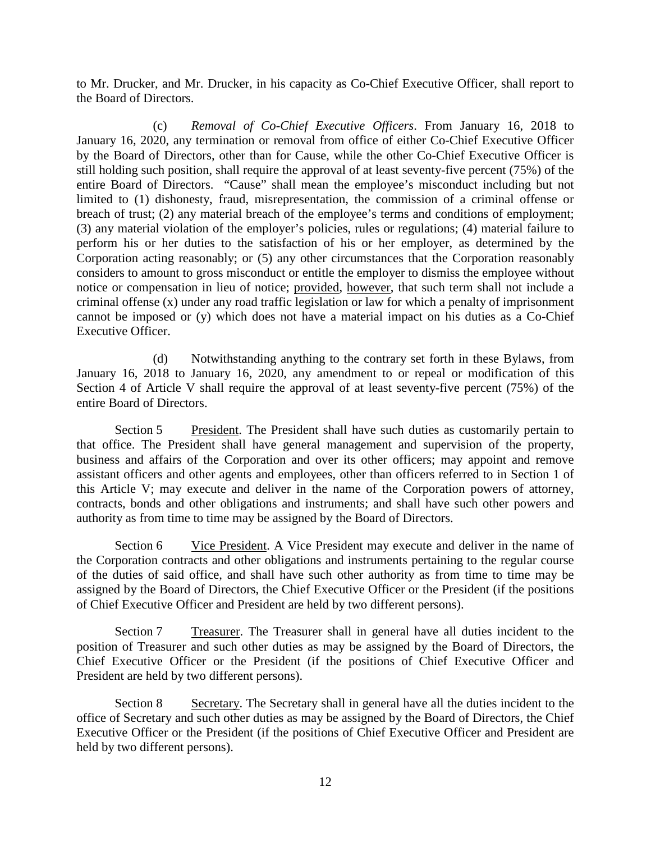to Mr. Drucker, and Mr. Drucker, in his capacity as Co-Chief Executive Officer, shall report to the Board of Directors.

(c) *Removal of Co-Chief Executive Officers*. From January 16, 2018 to January 16, 2020, any termination or removal from office of either Co-Chief Executive Officer by the Board of Directors, other than for Cause, while the other Co-Chief Executive Officer is still holding such position, shall require the approval of at least seventy-five percent (75%) of the entire Board of Directors. "Cause" shall mean the employee's misconduct including but not limited to (1) dishonesty, fraud, misrepresentation, the commission of a criminal offense or breach of trust; (2) any material breach of the employee's terms and conditions of employment; (3) any material violation of the employer's policies, rules or regulations; (4) material failure to perform his or her duties to the satisfaction of his or her employer, as determined by the Corporation acting reasonably; or (5) any other circumstances that the Corporation reasonably considers to amount to gross misconduct or entitle the employer to dismiss the employee without notice or compensation in lieu of notice; provided, however, that such term shall not include a criminal offense (x) under any road traffic legislation or law for which a penalty of imprisonment cannot be imposed or (y) which does not have a material impact on his duties as a Co-Chief Executive Officer.

(d) Notwithstanding anything to the contrary set forth in these Bylaws, from January 16, 2018 to January 16, 2020, any amendment to or repeal or modification of this Section 4 of Article V shall require the approval of at least seventy-five percent (75%) of the entire Board of Directors.

Section 5 President. The President shall have such duties as customarily pertain to that office. The President shall have general management and supervision of the property, business and affairs of the Corporation and over its other officers; may appoint and remove assistant officers and other agents and employees, other than officers referred to in Section 1 of this Article V; may execute and deliver in the name of the Corporation powers of attorney, contracts, bonds and other obligations and instruments; and shall have such other powers and authority as from time to time may be assigned by the Board of Directors.

Section 6 Vice President. A Vice President may execute and deliver in the name of the Corporation contracts and other obligations and instruments pertaining to the regular course of the duties of said office, and shall have such other authority as from time to time may be assigned by the Board of Directors, the Chief Executive Officer or the President (if the positions of Chief Executive Officer and President are held by two different persons).

Section 7 Treasurer. The Treasurer shall in general have all duties incident to the position of Treasurer and such other duties as may be assigned by the Board of Directors, the Chief Executive Officer or the President (if the positions of Chief Executive Officer and President are held by two different persons).

Section 8 Secretary. The Secretary shall in general have all the duties incident to the office of Secretary and such other duties as may be assigned by the Board of Directors, the Chief Executive Officer or the President (if the positions of Chief Executive Officer and President are held by two different persons).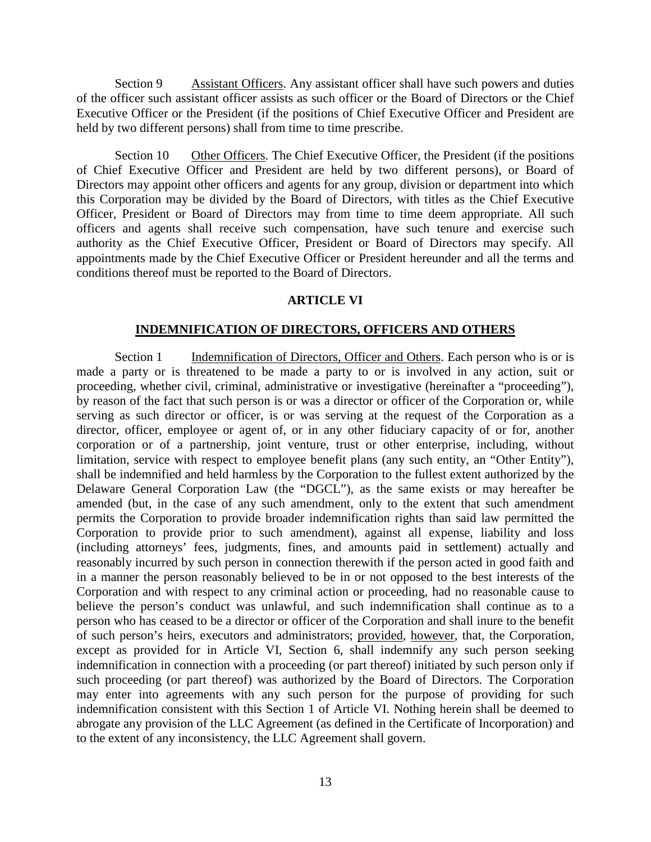Section 9 Assistant Officers. Any assistant officer shall have such powers and duties of the officer such assistant officer assists as such officer or the Board of Directors or the Chief Executive Officer or the President (if the positions of Chief Executive Officer and President are held by two different persons) shall from time to time prescribe.

Section 10 Other Officers. The Chief Executive Officer, the President (if the positions of Chief Executive Officer and President are held by two different persons), or Board of Directors may appoint other officers and agents for any group, division or department into which this Corporation may be divided by the Board of Directors, with titles as the Chief Executive Officer, President or Board of Directors may from time to time deem appropriate. All such officers and agents shall receive such compensation, have such tenure and exercise such authority as the Chief Executive Officer, President or Board of Directors may specify. All appointments made by the Chief Executive Officer or President hereunder and all the terms and conditions thereof must be reported to the Board of Directors.

## **ARTICLE VI**

### **INDEMNIFICATION OF DIRECTORS, OFFICERS AND OTHERS**

Section 1 Indemnification of Directors, Officer and Others. Each person who is or is made a party or is threatened to be made a party to or is involved in any action, suit or proceeding, whether civil, criminal, administrative or investigative (hereinafter a "proceeding"), by reason of the fact that such person is or was a director or officer of the Corporation or, while serving as such director or officer, is or was serving at the request of the Corporation as a director, officer, employee or agent of, or in any other fiduciary capacity of or for, another corporation or of a partnership, joint venture, trust or other enterprise, including, without limitation, service with respect to employee benefit plans (any such entity, an "Other Entity"), shall be indemnified and held harmless by the Corporation to the fullest extent authorized by the Delaware General Corporation Law (the "DGCL"), as the same exists or may hereafter be amended (but, in the case of any such amendment, only to the extent that such amendment permits the Corporation to provide broader indemnification rights than said law permitted the Corporation to provide prior to such amendment), against all expense, liability and loss (including attorneys' fees, judgments, fines, and amounts paid in settlement) actually and reasonably incurred by such person in connection therewith if the person acted in good faith and in a manner the person reasonably believed to be in or not opposed to the best interests of the Corporation and with respect to any criminal action or proceeding, had no reasonable cause to believe the person's conduct was unlawful, and such indemnification shall continue as to a person who has ceased to be a director or officer of the Corporation and shall inure to the benefit of such person's heirs, executors and administrators; provided, however, that, the Corporation, except as provided for in Article VI, Section 6, shall indemnify any such person seeking indemnification in connection with a proceeding (or part thereof) initiated by such person only if such proceeding (or part thereof) was authorized by the Board of Directors. The Corporation may enter into agreements with any such person for the purpose of providing for such indemnification consistent with this Section 1 of Article VI. Nothing herein shall be deemed to abrogate any provision of the LLC Agreement (as defined in the Certificate of Incorporation) and to the extent of any inconsistency, the LLC Agreement shall govern.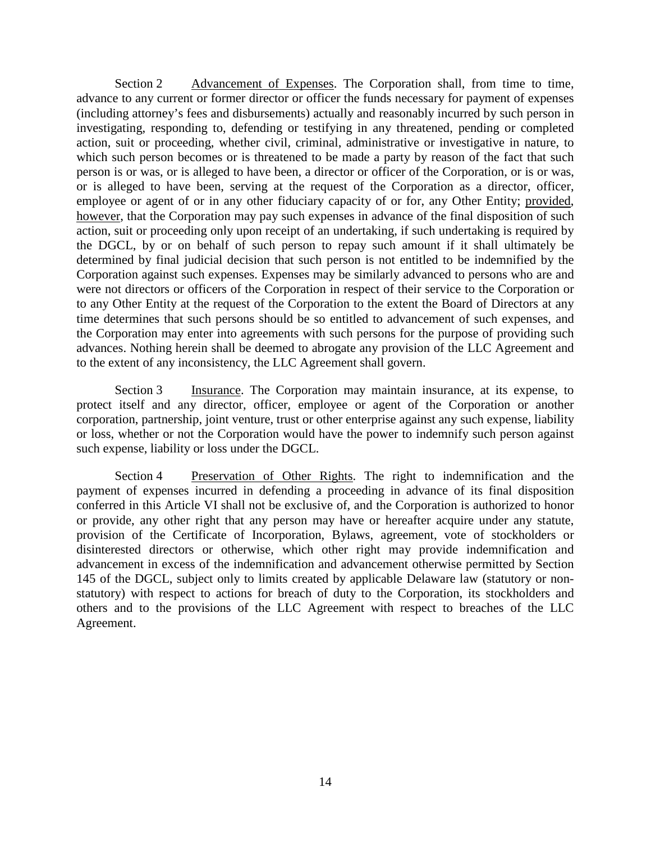Section 2 Advancement of Expenses. The Corporation shall, from time to time, advance to any current or former director or officer the funds necessary for payment of expenses (including attorney's fees and disbursements) actually and reasonably incurred by such person in investigating, responding to, defending or testifying in any threatened, pending or completed action, suit or proceeding, whether civil, criminal, administrative or investigative in nature, to which such person becomes or is threatened to be made a party by reason of the fact that such person is or was, or is alleged to have been, a director or officer of the Corporation, or is or was, or is alleged to have been, serving at the request of the Corporation as a director, officer, employee or agent of or in any other fiduciary capacity of or for, any Other Entity; provided, however, that the Corporation may pay such expenses in advance of the final disposition of such action, suit or proceeding only upon receipt of an undertaking, if such undertaking is required by the DGCL, by or on behalf of such person to repay such amount if it shall ultimately be determined by final judicial decision that such person is not entitled to be indemnified by the Corporation against such expenses. Expenses may be similarly advanced to persons who are and were not directors or officers of the Corporation in respect of their service to the Corporation or to any Other Entity at the request of the Corporation to the extent the Board of Directors at any time determines that such persons should be so entitled to advancement of such expenses, and the Corporation may enter into agreements with such persons for the purpose of providing such advances. Nothing herein shall be deemed to abrogate any provision of the LLC Agreement and to the extent of any inconsistency, the LLC Agreement shall govern.

Section 3 Insurance. The Corporation may maintain insurance, at its expense, to protect itself and any director, officer, employee or agent of the Corporation or another corporation, partnership, joint venture, trust or other enterprise against any such expense, liability or loss, whether or not the Corporation would have the power to indemnify such person against such expense, liability or loss under the DGCL.

Section 4 Preservation of Other Rights. The right to indemnification and the payment of expenses incurred in defending a proceeding in advance of its final disposition conferred in this Article VI shall not be exclusive of, and the Corporation is authorized to honor or provide, any other right that any person may have or hereafter acquire under any statute, provision of the Certificate of Incorporation, Bylaws, agreement, vote of stockholders or disinterested directors or otherwise, which other right may provide indemnification and advancement in excess of the indemnification and advancement otherwise permitted by Section 145 of the DGCL, subject only to limits created by applicable Delaware law (statutory or nonstatutory) with respect to actions for breach of duty to the Corporation, its stockholders and others and to the provisions of the LLC Agreement with respect to breaches of the LLC Agreement.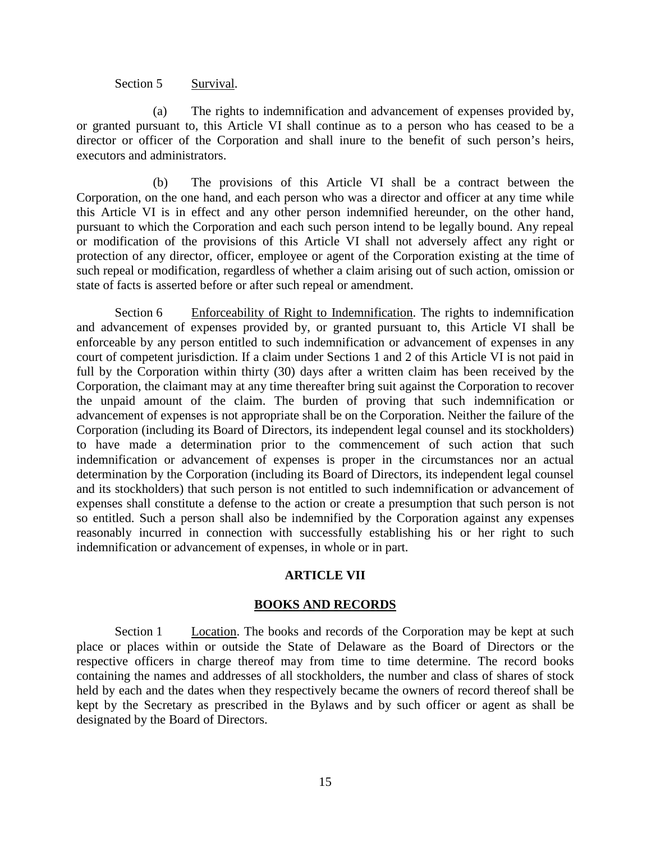Section 5 Survival.

(a) The rights to indemnification and advancement of expenses provided by, or granted pursuant to, this Article VI shall continue as to a person who has ceased to be a director or officer of the Corporation and shall inure to the benefit of such person's heirs, executors and administrators.

(b) The provisions of this Article VI shall be a contract between the Corporation, on the one hand, and each person who was a director and officer at any time while this Article VI is in effect and any other person indemnified hereunder, on the other hand, pursuant to which the Corporation and each such person intend to be legally bound. Any repeal or modification of the provisions of this Article VI shall not adversely affect any right or protection of any director, officer, employee or agent of the Corporation existing at the time of such repeal or modification, regardless of whether a claim arising out of such action, omission or state of facts is asserted before or after such repeal or amendment.

Section 6 Enforceability of Right to Indemnification. The rights to indemnification and advancement of expenses provided by, or granted pursuant to, this Article VI shall be enforceable by any person entitled to such indemnification or advancement of expenses in any court of competent jurisdiction. If a claim under Sections 1 and 2 of this Article VI is not paid in full by the Corporation within thirty (30) days after a written claim has been received by the Corporation, the claimant may at any time thereafter bring suit against the Corporation to recover the unpaid amount of the claim. The burden of proving that such indemnification or advancement of expenses is not appropriate shall be on the Corporation. Neither the failure of the Corporation (including its Board of Directors, its independent legal counsel and its stockholders) to have made a determination prior to the commencement of such action that such indemnification or advancement of expenses is proper in the circumstances nor an actual determination by the Corporation (including its Board of Directors, its independent legal counsel and its stockholders) that such person is not entitled to such indemnification or advancement of expenses shall constitute a defense to the action or create a presumption that such person is not so entitled. Such a person shall also be indemnified by the Corporation against any expenses reasonably incurred in connection with successfully establishing his or her right to such indemnification or advancement of expenses, in whole or in part.

## **ARTICLE VII**

## **BOOKS AND RECORDS**

Section 1 Location. The books and records of the Corporation may be kept at such place or places within or outside the State of Delaware as the Board of Directors or the respective officers in charge thereof may from time to time determine. The record books containing the names and addresses of all stockholders, the number and class of shares of stock held by each and the dates when they respectively became the owners of record thereof shall be kept by the Secretary as prescribed in the Bylaws and by such officer or agent as shall be designated by the Board of Directors.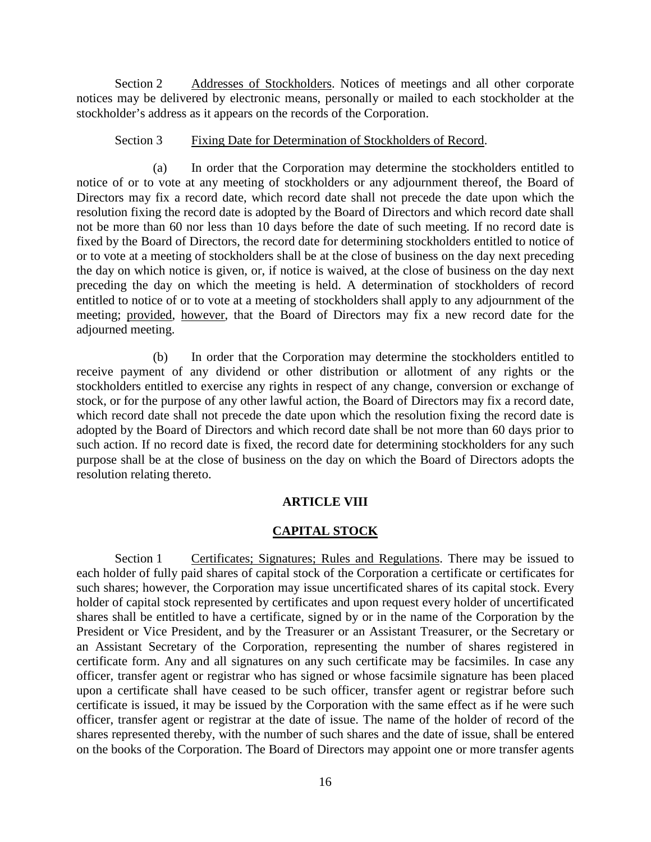Section 2 Addresses of Stockholders. Notices of meetings and all other corporate notices may be delivered by electronic means, personally or mailed to each stockholder at the stockholder's address as it appears on the records of the Corporation.

## Section 3 Fixing Date for Determination of Stockholders of Record.

(a) In order that the Corporation may determine the stockholders entitled to notice of or to vote at any meeting of stockholders or any adjournment thereof, the Board of Directors may fix a record date, which record date shall not precede the date upon which the resolution fixing the record date is adopted by the Board of Directors and which record date shall not be more than 60 nor less than 10 days before the date of such meeting. If no record date is fixed by the Board of Directors, the record date for determining stockholders entitled to notice of or to vote at a meeting of stockholders shall be at the close of business on the day next preceding the day on which notice is given, or, if notice is waived, at the close of business on the day next preceding the day on which the meeting is held. A determination of stockholders of record entitled to notice of or to vote at a meeting of stockholders shall apply to any adjournment of the meeting; provided, however, that the Board of Directors may fix a new record date for the adjourned meeting.

(b) In order that the Corporation may determine the stockholders entitled to receive payment of any dividend or other distribution or allotment of any rights or the stockholders entitled to exercise any rights in respect of any change, conversion or exchange of stock, or for the purpose of any other lawful action, the Board of Directors may fix a record date, which record date shall not precede the date upon which the resolution fixing the record date is adopted by the Board of Directors and which record date shall be not more than 60 days prior to such action. If no record date is fixed, the record date for determining stockholders for any such purpose shall be at the close of business on the day on which the Board of Directors adopts the resolution relating thereto.

# **ARTICLE VIII**

# **CAPITAL STOCK**

Section 1 Certificates; Signatures; Rules and Regulations. There may be issued to each holder of fully paid shares of capital stock of the Corporation a certificate or certificates for such shares; however, the Corporation may issue uncertificated shares of its capital stock. Every holder of capital stock represented by certificates and upon request every holder of uncertificated shares shall be entitled to have a certificate, signed by or in the name of the Corporation by the President or Vice President, and by the Treasurer or an Assistant Treasurer, or the Secretary or an Assistant Secretary of the Corporation, representing the number of shares registered in certificate form. Any and all signatures on any such certificate may be facsimiles. In case any officer, transfer agent or registrar who has signed or whose facsimile signature has been placed upon a certificate shall have ceased to be such officer, transfer agent or registrar before such certificate is issued, it may be issued by the Corporation with the same effect as if he were such officer, transfer agent or registrar at the date of issue. The name of the holder of record of the shares represented thereby, with the number of such shares and the date of issue, shall be entered on the books of the Corporation. The Board of Directors may appoint one or more transfer agents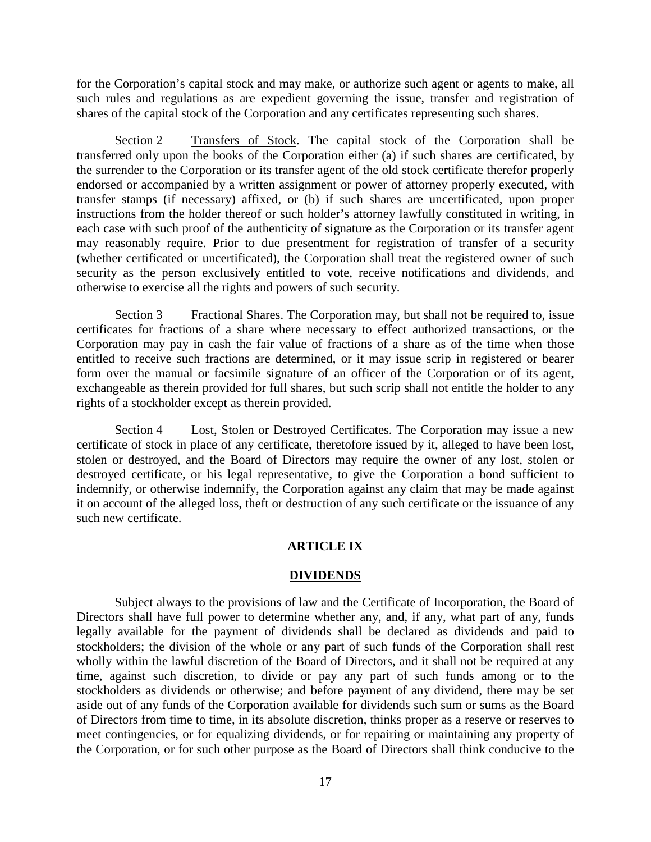for the Corporation's capital stock and may make, or authorize such agent or agents to make, all such rules and regulations as are expedient governing the issue, transfer and registration of shares of the capital stock of the Corporation and any certificates representing such shares.

Section 2 Transfers of Stock. The capital stock of the Corporation shall be transferred only upon the books of the Corporation either (a) if such shares are certificated, by the surrender to the Corporation or its transfer agent of the old stock certificate therefor properly endorsed or accompanied by a written assignment or power of attorney properly executed, with transfer stamps (if necessary) affixed, or (b) if such shares are uncertificated, upon proper instructions from the holder thereof or such holder's attorney lawfully constituted in writing, in each case with such proof of the authenticity of signature as the Corporation or its transfer agent may reasonably require. Prior to due presentment for registration of transfer of a security (whether certificated or uncertificated), the Corporation shall treat the registered owner of such security as the person exclusively entitled to vote, receive notifications and dividends, and otherwise to exercise all the rights and powers of such security.

Section 3 Fractional Shares. The Corporation may, but shall not be required to, issue certificates for fractions of a share where necessary to effect authorized transactions, or the Corporation may pay in cash the fair value of fractions of a share as of the time when those entitled to receive such fractions are determined, or it may issue scrip in registered or bearer form over the manual or facsimile signature of an officer of the Corporation or of its agent, exchangeable as therein provided for full shares, but such scrip shall not entitle the holder to any rights of a stockholder except as therein provided.

Section 4 Lost, Stolen or Destroyed Certificates. The Corporation may issue a new certificate of stock in place of any certificate, theretofore issued by it, alleged to have been lost, stolen or destroyed, and the Board of Directors may require the owner of any lost, stolen or destroyed certificate, or his legal representative, to give the Corporation a bond sufficient to indemnify, or otherwise indemnify, the Corporation against any claim that may be made against it on account of the alleged loss, theft or destruction of any such certificate or the issuance of any such new certificate.

# **ARTICLE IX**

## **DIVIDENDS**

Subject always to the provisions of law and the Certificate of Incorporation, the Board of Directors shall have full power to determine whether any, and, if any, what part of any, funds legally available for the payment of dividends shall be declared as dividends and paid to stockholders; the division of the whole or any part of such funds of the Corporation shall rest wholly within the lawful discretion of the Board of Directors, and it shall not be required at any time, against such discretion, to divide or pay any part of such funds among or to the stockholders as dividends or otherwise; and before payment of any dividend, there may be set aside out of any funds of the Corporation available for dividends such sum or sums as the Board of Directors from time to time, in its absolute discretion, thinks proper as a reserve or reserves to meet contingencies, or for equalizing dividends, or for repairing or maintaining any property of the Corporation, or for such other purpose as the Board of Directors shall think conducive to the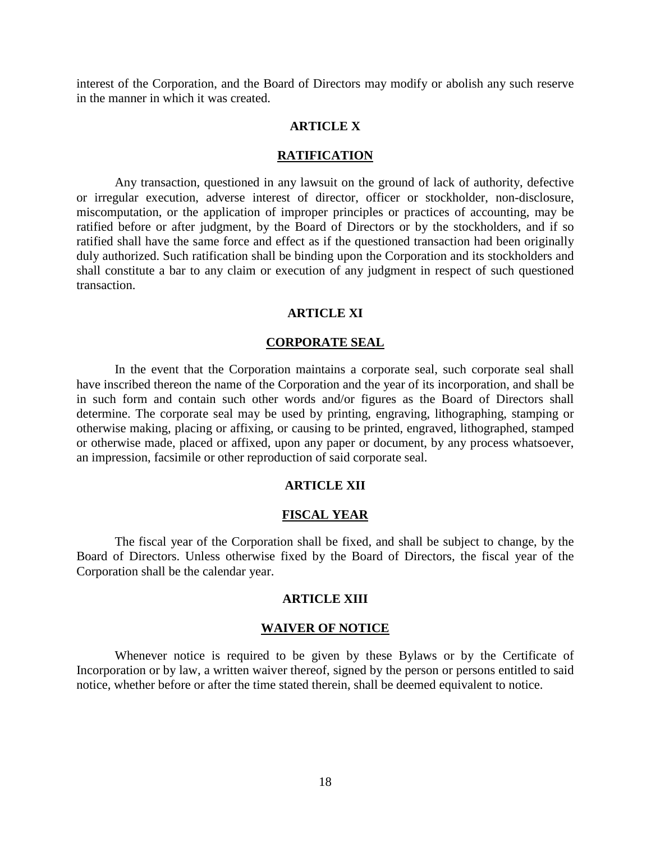interest of the Corporation, and the Board of Directors may modify or abolish any such reserve in the manner in which it was created.

### **ARTICLE X**

### **RATIFICATION**

Any transaction, questioned in any lawsuit on the ground of lack of authority, defective or irregular execution, adverse interest of director, officer or stockholder, non-disclosure, miscomputation, or the application of improper principles or practices of accounting, may be ratified before or after judgment, by the Board of Directors or by the stockholders, and if so ratified shall have the same force and effect as if the questioned transaction had been originally duly authorized. Such ratification shall be binding upon the Corporation and its stockholders and shall constitute a bar to any claim or execution of any judgment in respect of such questioned transaction.

### **ARTICLE XI**

### **CORPORATE SEAL**

In the event that the Corporation maintains a corporate seal, such corporate seal shall have inscribed thereon the name of the Corporation and the year of its incorporation, and shall be in such form and contain such other words and/or figures as the Board of Directors shall determine. The corporate seal may be used by printing, engraving, lithographing, stamping or otherwise making, placing or affixing, or causing to be printed, engraved, lithographed, stamped or otherwise made, placed or affixed, upon any paper or document, by any process whatsoever, an impression, facsimile or other reproduction of said corporate seal.

# **ARTICLE XII**

### **FISCAL YEAR**

The fiscal year of the Corporation shall be fixed, and shall be subject to change, by the Board of Directors. Unless otherwise fixed by the Board of Directors, the fiscal year of the Corporation shall be the calendar year.

### **ARTICLE XIII**

### **WAIVER OF NOTICE**

Whenever notice is required to be given by these Bylaws or by the Certificate of Incorporation or by law, a written waiver thereof, signed by the person or persons entitled to said notice, whether before or after the time stated therein, shall be deemed equivalent to notice.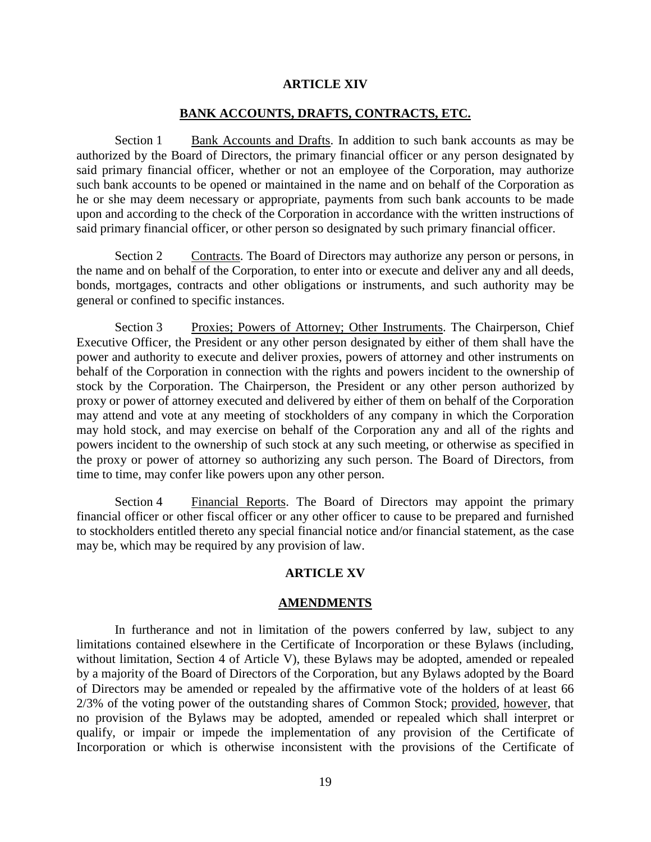### **ARTICLE XIV**

## **BANK ACCOUNTS, DRAFTS, CONTRACTS, ETC.**

Section 1 Bank Accounts and Drafts. In addition to such bank accounts as may be authorized by the Board of Directors, the primary financial officer or any person designated by said primary financial officer, whether or not an employee of the Corporation, may authorize such bank accounts to be opened or maintained in the name and on behalf of the Corporation as he or she may deem necessary or appropriate, payments from such bank accounts to be made upon and according to the check of the Corporation in accordance with the written instructions of said primary financial officer, or other person so designated by such primary financial officer.

Section 2 Contracts. The Board of Directors may authorize any person or persons, in the name and on behalf of the Corporation, to enter into or execute and deliver any and all deeds, bonds, mortgages, contracts and other obligations or instruments, and such authority may be general or confined to specific instances.

Section 3 Proxies; Powers of Attorney; Other Instruments. The Chairperson, Chief Executive Officer, the President or any other person designated by either of them shall have the power and authority to execute and deliver proxies, powers of attorney and other instruments on behalf of the Corporation in connection with the rights and powers incident to the ownership of stock by the Corporation. The Chairperson, the President or any other person authorized by proxy or power of attorney executed and delivered by either of them on behalf of the Corporation may attend and vote at any meeting of stockholders of any company in which the Corporation may hold stock, and may exercise on behalf of the Corporation any and all of the rights and powers incident to the ownership of such stock at any such meeting, or otherwise as specified in the proxy or power of attorney so authorizing any such person. The Board of Directors, from time to time, may confer like powers upon any other person.

Section 4 Financial Reports. The Board of Directors may appoint the primary financial officer or other fiscal officer or any other officer to cause to be prepared and furnished to stockholders entitled thereto any special financial notice and/or financial statement, as the case may be, which may be required by any provision of law.

## **ARTICLE XV**

### **AMENDMENTS**

In furtherance and not in limitation of the powers conferred by law, subject to any limitations contained elsewhere in the Certificate of Incorporation or these Bylaws (including, without limitation, Section 4 of Article V), these Bylaws may be adopted, amended or repealed by a majority of the Board of Directors of the Corporation, but any Bylaws adopted by the Board of Directors may be amended or repealed by the affirmative vote of the holders of at least 66 2/3% of the voting power of the outstanding shares of Common Stock; provided, however, that no provision of the Bylaws may be adopted, amended or repealed which shall interpret or qualify, or impair or impede the implementation of any provision of the Certificate of Incorporation or which is otherwise inconsistent with the provisions of the Certificate of